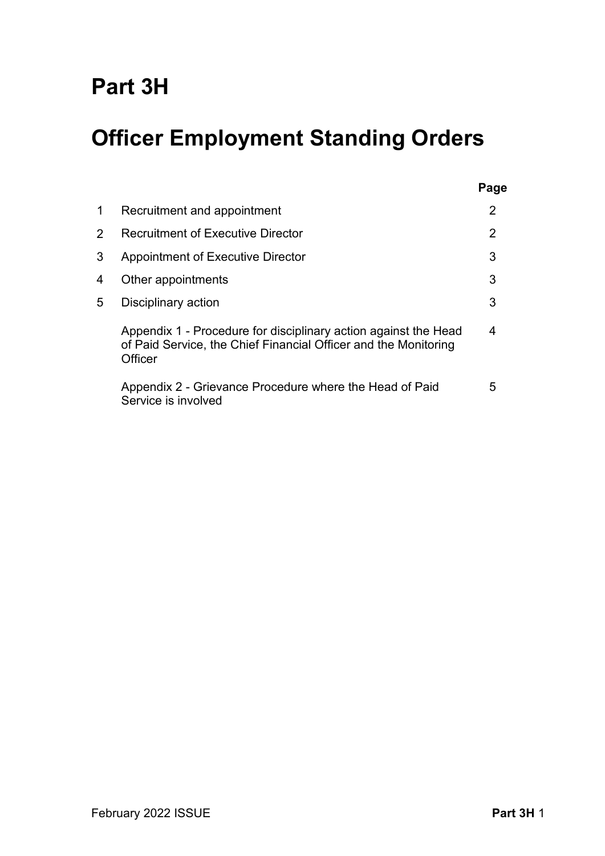# **Part 3H**

# **Officer Employment Standing Orders**

| 1              | Recruitment and appointment                                                                                                                   | 2              |
|----------------|-----------------------------------------------------------------------------------------------------------------------------------------------|----------------|
| $\overline{2}$ | <b>Recruitment of Executive Director</b>                                                                                                      | $\overline{2}$ |
| 3              | <b>Appointment of Executive Director</b>                                                                                                      | 3              |
| 4              | Other appointments                                                                                                                            | 3              |
| 5              | Disciplinary action                                                                                                                           | 3              |
|                | Appendix 1 - Procedure for disciplinary action against the Head<br>of Paid Service, the Chief Financial Officer and the Monitoring<br>Officer | 4              |
|                | Appendix 2 - Grievance Procedure where the Head of Paid<br>Service is involved                                                                | 5              |

**Page**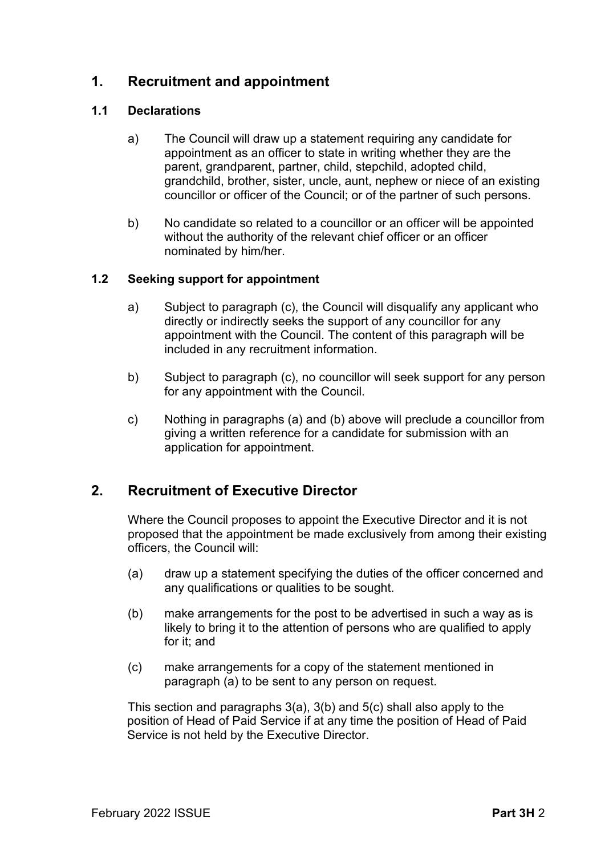# **1. Recruitment and appointment**

# **1.1 Declarations**

- a) The Council will draw up a statement requiring any candidate for appointment as an officer to state in writing whether they are the parent, grandparent, partner, child, stepchild, adopted child, grandchild, brother, sister, uncle, aunt, nephew or niece of an existing councillor or officer of the Council; or of the partner of such persons.
- b) No candidate so related to a councillor or an officer will be appointed without the authority of the relevant chief officer or an officer nominated by him/her.

# **1.2 Seeking support for appointment**

- a) Subject to paragraph (c), the Council will disqualify any applicant who directly or indirectly seeks the support of any councillor for any appointment with the Council. The content of this paragraph will be included in any recruitment information.
- b) Subject to paragraph (c), no councillor will seek support for any person for any appointment with the Council.
- c) Nothing in paragraphs (a) and (b) above will preclude a councillor from giving a written reference for a candidate for submission with an application for appointment.

# **2. Recruitment of Executive Director**

Where the Council proposes to appoint the Executive Director and it is not proposed that the appointment be made exclusively from among their existing officers, the Council will:

- (a) draw up a statement specifying the duties of the officer concerned and any qualifications or qualities to be sought.
- (b) make arrangements for the post to be advertised in such a way as is likely to bring it to the attention of persons who are qualified to apply for it; and
- (c) make arrangements for a copy of the statement mentioned in paragraph (a) to be sent to any person on request.

This section and paragraphs 3(a), 3(b) and 5(c) shall also apply to the position of Head of Paid Service if at any time the position of Head of Paid Service is not held by the Executive Director.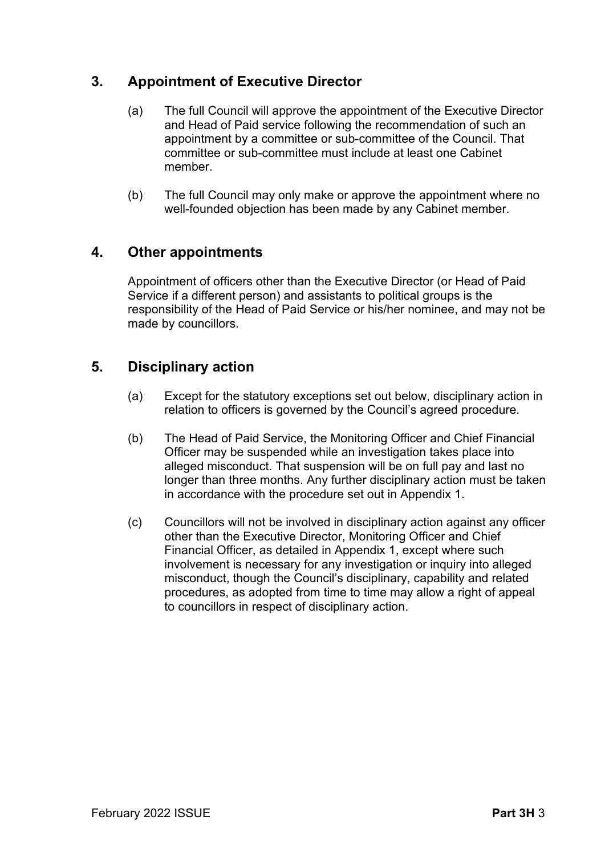# **3. Appointment of Executive Director**

- (a) The full Council will approve the appointment of the Executive Director and Head of Paid service following the recommendation of such an appointment by a committee or sub-committee of the Council. That committee or sub-committee must include at least one Cabinet member.
- (b) The full Council may only make or approve the appointment where no well-founded objection has been made by any Cabinet member.

# **4. Other appointments**

Appointment of officers other than the Executive Director (or Head of Paid Service if a different person) and assistants to political groups is the responsibility of the Head of Paid Service or his/her nominee, and may not be made by councillors.

# **5. Disciplinary action**

- (a) Except for the statutory exceptions set out below, disciplinary action in relation to officers is governed by the Council's agreed procedure.
- (b) The Head of Paid Service, the Monitoring Officer and Chief Financial Officer may be suspended while an investigation takes place into alleged misconduct. That suspension will be on full pay and last no longer than three months. Any further disciplinary action must be taken in accordance with the procedure set out in Appendix 1.
- (c) Councillors will not be involved in disciplinary action against any officer other than the Executive Director, Monitoring Officer and Chief Financial Officer, as detailed in Appendix 1, except where such involvement is necessary for any investigation or inquiry into alleged misconduct, though the Council's disciplinary, capability and related procedures, as adopted from time to time may allow a right of appeal to councillors in respect of disciplinary action.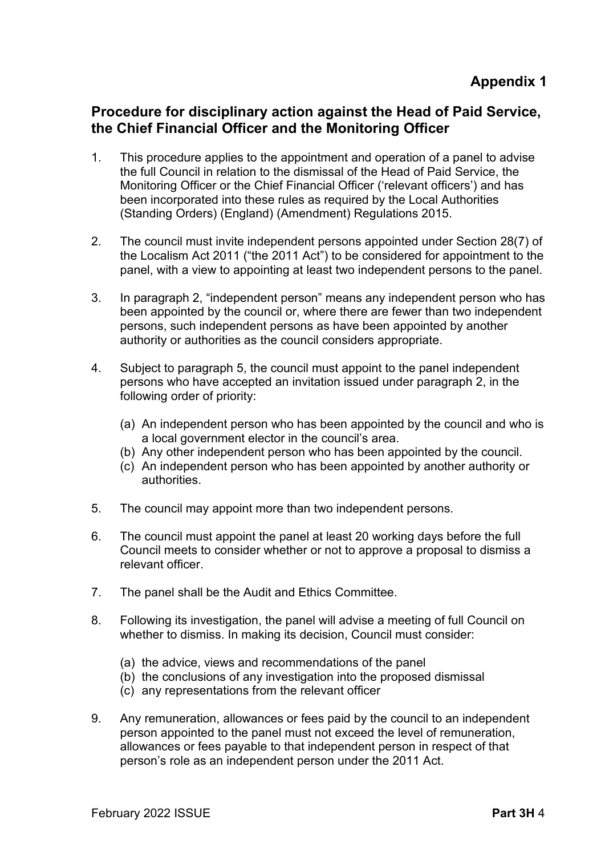# **Procedure for disciplinary action against the Head of Paid Service, the Chief Financial Officer and the Monitoring Officer**

- 1. This procedure applies to the appointment and operation of a panel to advise the full Council in relation to the dismissal of the Head of Paid Service, the Monitoring Officer or the Chief Financial Officer ('relevant officers') and has been incorporated into these rules as required by the Local Authorities (Standing Orders) (England) (Amendment) Regulations 2015.
- 2. The council must invite independent persons appointed under Section 28(7) of the Localism Act 2011 ("the 2011 Act") to be considered for appointment to the panel, with a view to appointing at least two independent persons to the panel.
- 3. In paragraph 2, "independent person" means any independent person who has been appointed by the council or, where there are fewer than two independent persons, such independent persons as have been appointed by another authority or authorities as the council considers appropriate.
- 4. Subject to paragraph 5, the council must appoint to the panel independent persons who have accepted an invitation issued under paragraph 2, in the following order of priority:
	- (a) An independent person who has been appointed by the council and who is a local government elector in the council's area.
	- (b) Any other independent person who has been appointed by the council.
	- (c) An independent person who has been appointed by another authority or authorities.
- 5. The council may appoint more than two independent persons.
- 6. The council must appoint the panel at least 20 working days before the full Council meets to consider whether or not to approve a proposal to dismiss a relevant officer.
- 7. The panel shall be the Audit and Ethics Committee.
- 8. Following its investigation, the panel will advise a meeting of full Council on whether to dismiss. In making its decision, Council must consider:
	- (a) the advice, views and recommendations of the panel
	- (b) the conclusions of any investigation into the proposed dismissal
	- (c) any representations from the relevant officer
- 9. Any remuneration, allowances or fees paid by the council to an independent person appointed to the panel must not exceed the level of remuneration, allowances or fees payable to that independent person in respect of that person's role as an independent person under the 2011 Act.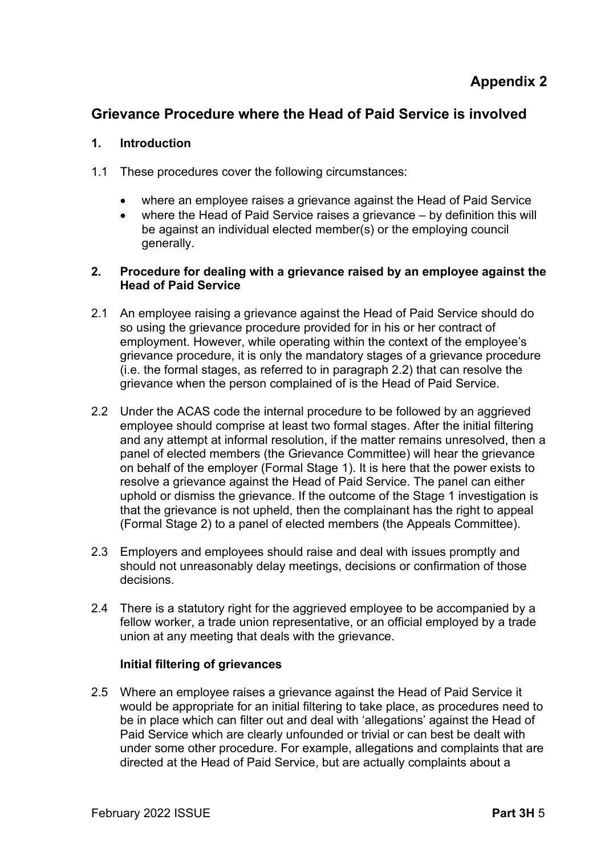# **Grievance Procedure where the Head of Paid Service is involved**

## **1. Introduction**

- 1.1 These procedures cover the following circumstances:
	- where an employee raises a grievance against the Head of Paid Service
	- where the Head of Paid Service raises a grievance by definition this will be against an individual elected member(s) or the employing council generally.

## **2. Procedure for dealing with a grievance raised by an employee against the Head of Paid Service**

- 2.1 An employee raising a grievance against the Head of Paid Service should do so using the grievance procedure provided for in his or her contract of employment. However, while operating within the context of the employee's grievance procedure, it is only the mandatory stages of a grievance procedure (i.e. the formal stages, as referred to in paragraph 2.2) that can resolve the grievance when the person complained of is the Head of Paid Service.
- 2.2 Under the ACAS code the internal procedure to be followed by an aggrieved employee should comprise at least two formal stages. After the initial filtering and any attempt at informal resolution, if the matter remains unresolved, then a panel of elected members (the Grievance Committee) will hear the grievance on behalf of the employer (Formal Stage 1). It is here that the power exists to resolve a grievance against the Head of Paid Service. The panel can either uphold or dismiss the grievance. If the outcome of the Stage 1 investigation is that the grievance is not upheld, then the complainant has the right to appeal (Formal Stage 2) to a panel of elected members (the Appeals Committee).
- 2.3 Employers and employees should raise and deal with issues promptly and should not unreasonably delay meetings, decisions or confirmation of those decisions.
- 2.4 There is a statutory right for the aggrieved employee to be accompanied by a fellow worker, a trade union representative, or an official employed by a trade union at any meeting that deals with the grievance.

# **Initial filtering of grievances**

2.5 Where an employee raises a grievance against the Head of Paid Service it would be appropriate for an initial filtering to take place, as procedures need to be in place which can filter out and deal with 'allegations' against the Head of Paid Service which are clearly unfounded or trivial or can best be dealt with under some other procedure. For example, allegations and complaints that are directed at the Head of Paid Service, but are actually complaints about a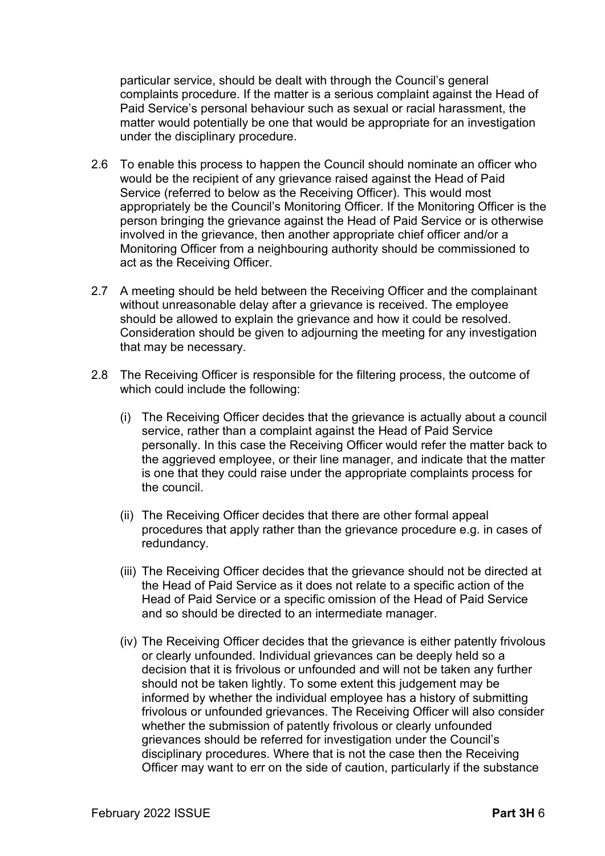particular service, should be dealt with through the Council's general complaints procedure. If the matter is a serious complaint against the Head of Paid Service's personal behaviour such as sexual or racial harassment, the matter would potentially be one that would be appropriate for an investigation under the disciplinary procedure.

- 2.6 To enable this process to happen the Council should nominate an officer who would be the recipient of any grievance raised against the Head of Paid Service (referred to below as the Receiving Officer). This would most appropriately be the Council's Monitoring Officer. If the Monitoring Officer is the person bringing the grievance against the Head of Paid Service or is otherwise involved in the grievance, then another appropriate chief officer and/or a Monitoring Officer from a neighbouring authority should be commissioned to act as the Receiving Officer.
- 2.7 A meeting should be held between the Receiving Officer and the complainant without unreasonable delay after a grievance is received. The employee should be allowed to explain the grievance and how it could be resolved. Consideration should be given to adjourning the meeting for any investigation that may be necessary.
- 2.8 The Receiving Officer is responsible for the filtering process, the outcome of which could include the following:
	- (i) The Receiving Officer decides that the grievance is actually about a council service, rather than a complaint against the Head of Paid Service personally. In this case the Receiving Officer would refer the matter back to the aggrieved employee, or their line manager, and indicate that the matter is one that they could raise under the appropriate complaints process for the council.
	- (ii) The Receiving Officer decides that there are other formal appeal procedures that apply rather than the grievance procedure e.g. in cases of redundancy.
	- (iii) The Receiving Officer decides that the grievance should not be directed at the Head of Paid Service as it does not relate to a specific action of the Head of Paid Service or a specific omission of the Head of Paid Service and so should be directed to an intermediate manager.
	- (iv) The Receiving Officer decides that the grievance is either patently frivolous or clearly unfounded. Individual grievances can be deeply held so a decision that it is frivolous or unfounded and will not be taken any further should not be taken lightly. To some extent this judgement may be informed by whether the individual employee has a history of submitting frivolous or unfounded grievances. The Receiving Officer will also consider whether the submission of patently frivolous or clearly unfounded grievances should be referred for investigation under the Council's disciplinary procedures. Where that is not the case then the Receiving Officer may want to err on the side of caution, particularly if the substance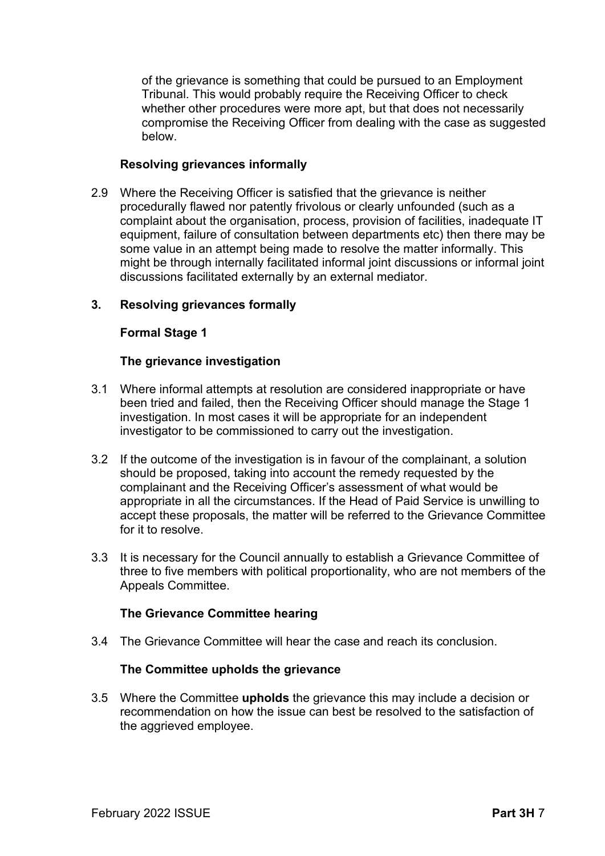of the grievance is something that could be pursued to an Employment Tribunal. This would probably require the Receiving Officer to check whether other procedures were more apt, but that does not necessarily compromise the Receiving Officer from dealing with the case as suggested below.

## **Resolving grievances informally**

2.9 Where the Receiving Officer is satisfied that the grievance is neither procedurally flawed nor patently frivolous or clearly unfounded (such as a complaint about the organisation, process, provision of facilities, inadequate IT equipment, failure of consultation between departments etc) then there may be some value in an attempt being made to resolve the matter informally. This might be through internally facilitated informal joint discussions or informal joint discussions facilitated externally by an external mediator.

## **3. Resolving grievances formally**

## **Formal Stage 1**

### **The grievance investigation**

- 3.1 Where informal attempts at resolution are considered inappropriate or have been tried and failed, then the Receiving Officer should manage the Stage 1 investigation. In most cases it will be appropriate for an independent investigator to be commissioned to carry out the investigation.
- 3.2 If the outcome of the investigation is in favour of the complainant, a solution should be proposed, taking into account the remedy requested by the complainant and the Receiving Officer's assessment of what would be appropriate in all the circumstances. If the Head of Paid Service is unwilling to accept these proposals, the matter will be referred to the Grievance Committee for it to resolve.
- 3.3 It is necessary for the Council annually to establish a Grievance Committee of three to five members with political proportionality, who are not members of the Appeals Committee.

### **The Grievance Committee hearing**

3.4 The Grievance Committee will hear the case and reach its conclusion.

### **The Committee upholds the grievance**

3.5 Where the Committee **upholds** the grievance this may include a decision or recommendation on how the issue can best be resolved to the satisfaction of the aggrieved employee.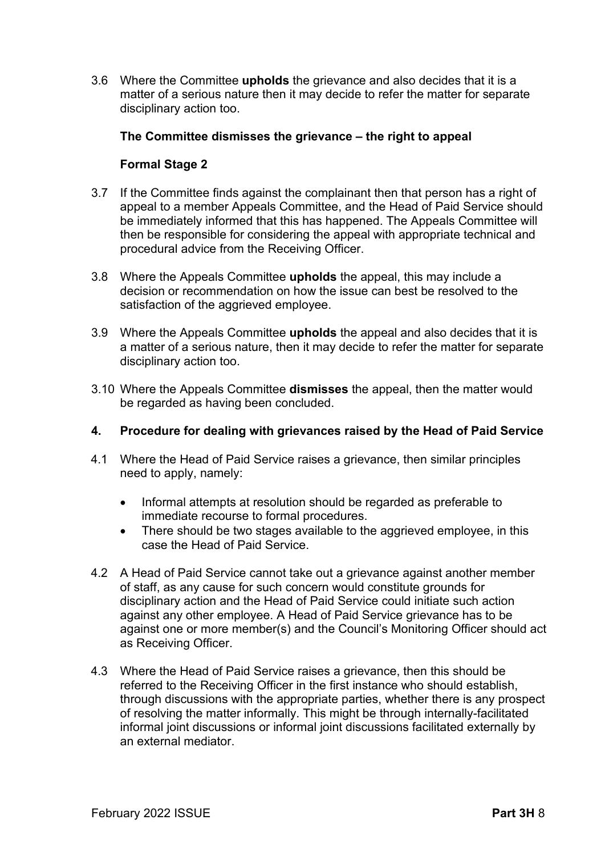3.6 Where the Committee **upholds** the grievance and also decides that it is a matter of a serious nature then it may decide to refer the matter for separate disciplinary action too.

### **The Committee dismisses the grievance – the right to appeal**

## **Formal Stage 2**

- 3.7 If the Committee finds against the complainant then that person has a right of appeal to a member Appeals Committee, and the Head of Paid Service should be immediately informed that this has happened. The Appeals Committee will then be responsible for considering the appeal with appropriate technical and procedural advice from the Receiving Officer.
- 3.8 Where the Appeals Committee **upholds** the appeal, this may include a decision or recommendation on how the issue can best be resolved to the satisfaction of the aggrieved employee.
- 3.9 Where the Appeals Committee **upholds** the appeal and also decides that it is a matter of a serious nature, then it may decide to refer the matter for separate disciplinary action too.
- 3.10 Where the Appeals Committee **dismisses** the appeal, then the matter would be regarded as having been concluded.

### **4. Procedure for dealing with grievances raised by the Head of Paid Service**

- 4.1 Where the Head of Paid Service raises a grievance, then similar principles need to apply, namely:
	- Informal attempts at resolution should be regarded as preferable to immediate recourse to formal procedures.
	- There should be two stages available to the aggrieved employee, in this case the Head of Paid Service.
- 4.2 A Head of Paid Service cannot take out a grievance against another member of staff, as any cause for such concern would constitute grounds for disciplinary action and the Head of Paid Service could initiate such action against any other employee. A Head of Paid Service grievance has to be against one or more member(s) and the Council's Monitoring Officer should act as Receiving Officer.
- 4.3 Where the Head of Paid Service raises a grievance, then this should be referred to the Receiving Officer in the first instance who should establish, through discussions with the appropriate parties, whether there is any prospect of resolving the matter informally. This might be through internally-facilitated informal joint discussions or informal joint discussions facilitated externally by an external mediator.